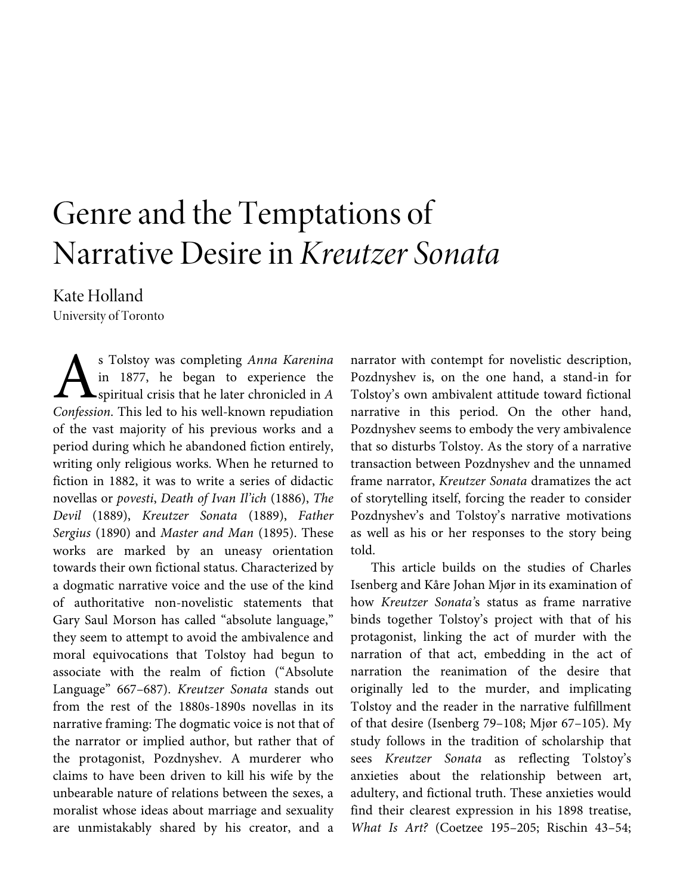# Genre and the Temptations of Narrative Desire in *Kreutzer Sonata*

Kate Holland University of Toronto

s Tolstoy was completing *Anna Karenina*  in 1877, he began to experience the spiritual crisis that he later chronicled in *A*  **Confession.** This led to his well-known repudiation Confession. This led to his well-known repudiation of the vast majority of his previous works and a period during which he abandoned fiction entirely, writing only religious works. When he returned to fiction in 1882, it was to write a series of didactic novellas or *povesti*, *Death of Ivan Il'ich* (1886), *The Devil* (1889), *Kreutzer Sonata* (1889), *Father Sergius* (1890) and *Master and Man* (1895). These works are marked by an uneasy orientation towards their own fictional status. Characterized by a dogmatic narrative voice and the use of the kind of authoritative non-novelistic statements that Gary Saul Morson has called "absolute language," they seem to attempt to avoid the ambivalence and moral equivocations that Tolstoy had begun to associate with the realm of fiction ("Absolute Language" 667–687). *Kreutzer Sonata* stands out from the rest of the 1880s-1890s novellas in its narrative framing: The dogmatic voice is not that of the narrator or implied author, but rather that of the protagonist, Pozdnyshev. A murderer who claims to have been driven to kill his wife by the unbearable nature of relations between the sexes, a moralist whose ideas about marriage and sexuality are unmistakably shared by his creator, and a

narrator with contempt for novelistic description, Pozdnyshev is, on the one hand, a stand-in for Tolstoy's own ambivalent attitude toward fictional narrative in this period. On the other hand, Pozdnyshev seems to embody the very ambivalence that so disturbs Tolstoy. As the story of a narrative transaction between Pozdnyshev and the unnamed frame narrator, *Kreutzer Sonata* dramatizes the act of storytelling itself, forcing the reader to consider Pozdnyshev's and Tolstoy's narrative motivations as well as his or her responses to the story being told.

This article builds on the studies of Charles Isenberg and Kåre Johan Mjør in its examination of how *Kreutzer Sonata'*s status as frame narrative binds together Tolstoy's project with that of his protagonist, linking the act of murder with the narration of that act, embedding in the act of narration the reanimation of the desire that originally led to the murder, and implicating Tolstoy and the reader in the narrative fulfillment of that desire (Isenberg 79–108; Mjør 67–105). My study follows in the tradition of scholarship that sees *Kreutzer Sonata* as reflecting Tolstoy's anxieties about the relationship between art, adultery, and fictional truth. These anxieties would find their clearest expression in his 1898 treatise, *What Is Art?* (Coetzee 195–205; Rischin 43–54;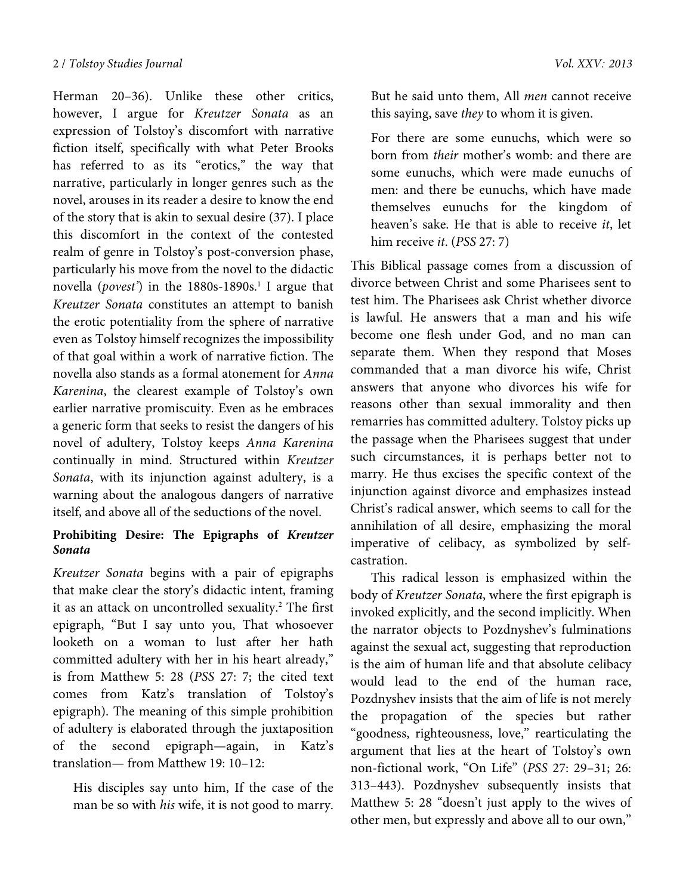Herman 20–36). Unlike these other critics, however, I argue for *Kreutzer Sonata* as an expression of Tolstoy's discomfort with narrative fiction itself, specifically with what Peter Brooks has referred to as its "erotics," the way that narrative, particularly in longer genres such as the novel, arouses in its reader a desire to know the end of the story that is akin to sexual desire (37). I place this discomfort in the context of the contested realm of genre in Tolstoy's post-conversion phase, particularly his move from the novel to the didactic novella (*povest*') in the 1880s-1890s.<sup>1</sup> I argue that *Kreutzer Sonata* constitutes an attempt to banish the erotic potentiality from the sphere of narrative even as Tolstoy himself recognizes the impossibility of that goal within a work of narrative fiction. The novella also stands as a formal atonement for *Anna Karenina*, the clearest example of Tolstoy's own earlier narrative promiscuity. Even as he embraces a generic form that seeks to resist the dangers of his novel of adultery, Tolstoy keeps *Anna Karenina* continually in mind. Structured within *Kreutzer Sonata*, with its injunction against adultery, is a warning about the analogous dangers of narrative itself, and above all of the seductions of the novel.

## **Prohibiting Desire: The Epigraphs of** *Kreutzer Sonata*

*Kreutzer Sonata* begins with a pair of epigraphs that make clear the story's didactic intent, framing it as an attack on uncontrolled sexuality.<sup>2</sup> The first epigraph, "But I say unto you, That whosoever looketh on a woman to lust after her hath committed adultery with her in his heart already," is from Matthew 5: 28 (*PSS* 27: 7; the cited text comes from Katz's translation of Tolstoy's epigraph). The meaning of this simple prohibition of adultery is elaborated through the juxtaposition of the second epigraph—again, in Katz's translation— from Matthew 19: 10–12:

His disciples say unto him, If the case of the man be so with *his* wife, it is not good to marry. But he said unto them, All *men* cannot receive this saying, save *they* to whom it is given.

For there are some eunuchs, which were so born from *their* mother's womb: and there are some eunuchs, which were made eunuchs of men: and there be eunuchs, which have made themselves eunuchs for the kingdom of heaven's sake. He that is able to receive *it*, let him receive *it*. (*PSS* 27: 7)

This Biblical passage comes from a discussion of divorce between Christ and some Pharisees sent to test him. The Pharisees ask Christ whether divorce is lawful. He answers that a man and his wife become one flesh under God, and no man can separate them. When they respond that Moses commanded that a man divorce his wife, Christ answers that anyone who divorces his wife for reasons other than sexual immorality and then remarries has committed adultery. Tolstoy picks up the passage when the Pharisees suggest that under such circumstances, it is perhaps better not to marry. He thus excises the specific context of the injunction against divorce and emphasizes instead Christ's radical answer, which seems to call for the annihilation of all desire, emphasizing the moral imperative of celibacy, as symbolized by selfcastration.

This radical lesson is emphasized within the body of *Kreutzer Sonata*, where the first epigraph is invoked explicitly, and the second implicitly. When the narrator objects to Pozdnyshev's fulminations against the sexual act, suggesting that reproduction is the aim of human life and that absolute celibacy would lead to the end of the human race, Pozdnyshev insists that the aim of life is not merely the propagation of the species but rather "goodness, righteousness, love," rearticulating the argument that lies at the heart of Tolstoy's own non-fictional work, "On Life" (*PSS* 27: 29–31; 26: 313–443). Pozdnyshev subsequently insists that Matthew 5: 28 "doesn't just apply to the wives of other men, but expressly and above all to our own,"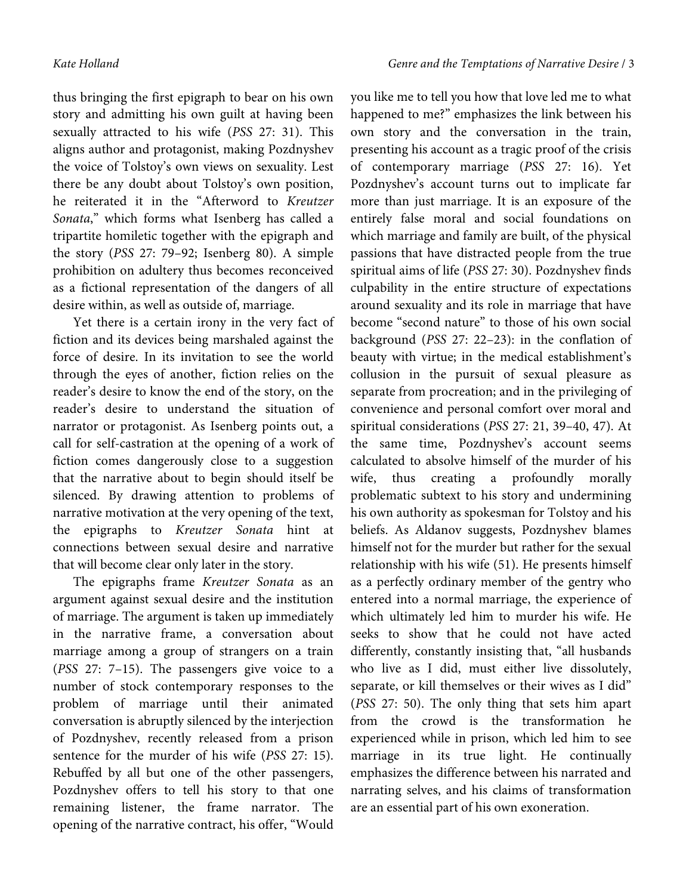thus bringing the first epigraph to bear on his own story and admitting his own guilt at having been sexually attracted to his wife (*PSS* 27: 31). This aligns author and protagonist, making Pozdnyshev the voice of Tolstoy's own views on sexuality. Lest there be any doubt about Tolstoy's own position, he reiterated it in the "Afterword to *Kreutzer Sonata*," which forms what Isenberg has called a tripartite homiletic together with the epigraph and the story (*PSS* 27: 79–92; Isenberg 80). A simple prohibition on adultery thus becomes reconceived as a fictional representation of the dangers of all desire within, as well as outside of, marriage.

Yet there is a certain irony in the very fact of fiction and its devices being marshaled against the force of desire. In its invitation to see the world through the eyes of another, fiction relies on the reader's desire to know the end of the story, on the reader's desire to understand the situation of narrator or protagonist. As Isenberg points out, a call for self-castration at the opening of a work of fiction comes dangerously close to a suggestion that the narrative about to begin should itself be silenced. By drawing attention to problems of narrative motivation at the very opening of the text, the epigraphs to *Kreutzer Sonata* hint at connections between sexual desire and narrative that will become clear only later in the story.

The epigraphs frame *Kreutzer Sonata* as an argument against sexual desire and the institution of marriage. The argument is taken up immediately in the narrative frame, a conversation about marriage among a group of strangers on a train (*PSS* 27: 7–15). The passengers give voice to a number of stock contemporary responses to the problem of marriage until their animated conversation is abruptly silenced by the interjection of Pozdnyshev, recently released from a prison sentence for the murder of his wife (*PSS* 27: 15). Rebuffed by all but one of the other passengers, Pozdnyshev offers to tell his story to that one remaining listener, the frame narrator. The opening of the narrative contract, his offer, "Would you like me to tell you how that love led me to what happened to me?" emphasizes the link between his own story and the conversation in the train, presenting his account as a tragic proof of the crisis of contemporary marriage (*PSS* 27: 16). Yet Pozdnyshev's account turns out to implicate far more than just marriage. It is an exposure of the entirely false moral and social foundations on which marriage and family are built, of the physical passions that have distracted people from the true spiritual aims of life (*PSS* 27: 30). Pozdnyshev finds culpability in the entire structure of expectations around sexuality and its role in marriage that have become "second nature" to those of his own social background (*PSS* 27: 22–23): in the conflation of beauty with virtue; in the medical establishment's collusion in the pursuit of sexual pleasure as separate from procreation; and in the privileging of convenience and personal comfort over moral and spiritual considerations (*PSS* 27: 21, 39–40, 47). At the same time, Pozdnyshev's account seems calculated to absolve himself of the murder of his wife, thus creating a profoundly morally problematic subtext to his story and undermining his own authority as spokesman for Tolstoy and his beliefs. As Aldanov suggests, Pozdnyshev blames himself not for the murder but rather for the sexual relationship with his wife (51). He presents himself as a perfectly ordinary member of the gentry who entered into a normal marriage, the experience of which ultimately led him to murder his wife. He seeks to show that he could not have acted differently, constantly insisting that, "all husbands who live as I did, must either live dissolutely, separate, or kill themselves or their wives as I did" (*PSS* 27: 50). The only thing that sets him apart from the crowd is the transformation he experienced while in prison, which led him to see marriage in its true light. He continually emphasizes the difference between his narrated and narrating selves, and his claims of transformation are an essential part of his own exoneration.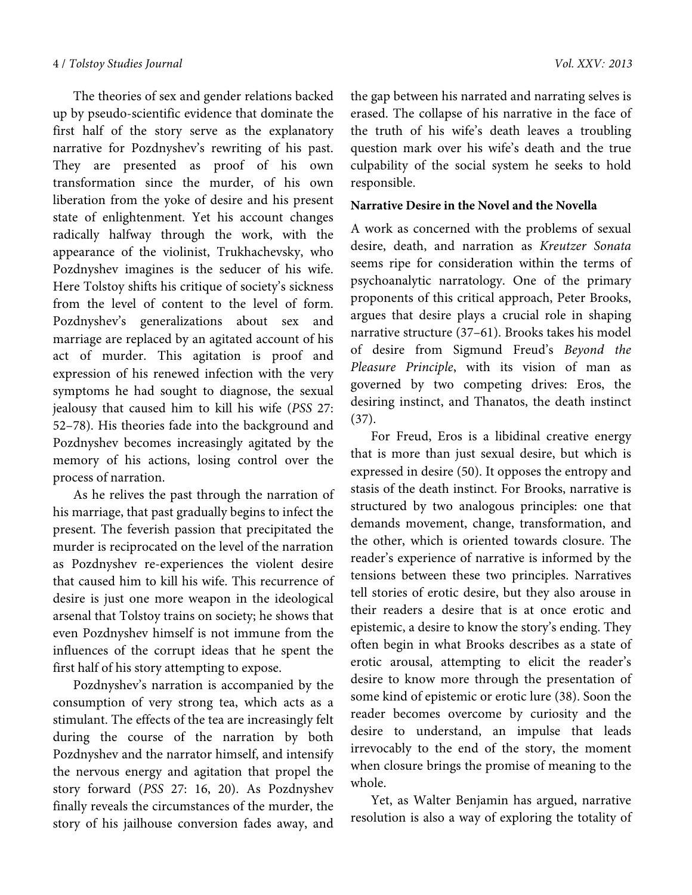The theories of sex and gender relations backed up by pseudo-scientific evidence that dominate the first half of the story serve as the explanatory narrative for Pozdnyshev's rewriting of his past. They are presented as proof of his own transformation since the murder, of his own liberation from the yoke of desire and his present state of enlightenment. Yet his account changes radically halfway through the work, with the appearance of the violinist, Trukhachevsky, who Pozdnyshev imagines is the seducer of his wife. Here Tolstoy shifts his critique of society's sickness from the level of content to the level of form. Pozdnyshev's generalizations about sex and marriage are replaced by an agitated account of his act of murder. This agitation is proof and expression of his renewed infection with the very symptoms he had sought to diagnose, the sexual jealousy that caused him to kill his wife (*PSS* 27: 52–78). His theories fade into the background and Pozdnyshev becomes increasingly agitated by the memory of his actions, losing control over the process of narration.

As he relives the past through the narration of his marriage, that past gradually begins to infect the present. The feverish passion that precipitated the murder is reciprocated on the level of the narration as Pozdnyshev re-experiences the violent desire that caused him to kill his wife. This recurrence of desire is just one more weapon in the ideological arsenal that Tolstoy trains on society; he shows that even Pozdnyshev himself is not immune from the influences of the corrupt ideas that he spent the first half of his story attempting to expose.

Pozdnyshev's narration is accompanied by the consumption of very strong tea, which acts as a stimulant. The effects of the tea are increasingly felt during the course of the narration by both Pozdnyshev and the narrator himself, and intensify the nervous energy and agitation that propel the story forward (*PSS* 27: 16, 20). As Pozdnyshev finally reveals the circumstances of the murder, the story of his jailhouse conversion fades away, and

the gap between his narrated and narrating selves is erased. The collapse of his narrative in the face of the truth of his wife's death leaves a troubling question mark over his wife's death and the true culpability of the social system he seeks to hold responsible.

#### **Narrative Desire in the Novel and the Novella**

A work as concerned with the problems of sexual desire, death, and narration as *Kreutzer Sonata* seems ripe for consideration within the terms of psychoanalytic narratology. One of the primary proponents of this critical approach, Peter Brooks, argues that desire plays a crucial role in shaping narrative structure (37–61). Brooks takes his model of desire from Sigmund Freud's *Beyond the Pleasure Principle*, with its vision of man as governed by two competing drives: Eros, the desiring instinct, and Thanatos, the death instinct (37).

For Freud, Eros is a libidinal creative energy that is more than just sexual desire, but which is expressed in desire (50). It opposes the entropy and stasis of the death instinct. For Brooks, narrative is structured by two analogous principles: one that demands movement, change, transformation, and the other, which is oriented towards closure. The reader's experience of narrative is informed by the tensions between these two principles. Narratives tell stories of erotic desire, but they also arouse in their readers a desire that is at once erotic and epistemic, a desire to know the story's ending. They often begin in what Brooks describes as a state of erotic arousal, attempting to elicit the reader's desire to know more through the presentation of some kind of epistemic or erotic lure (38). Soon the reader becomes overcome by curiosity and the desire to understand, an impulse that leads irrevocably to the end of the story, the moment when closure brings the promise of meaning to the whole.

Yet, as Walter Benjamin has argued, narrative resolution is also a way of exploring the totality of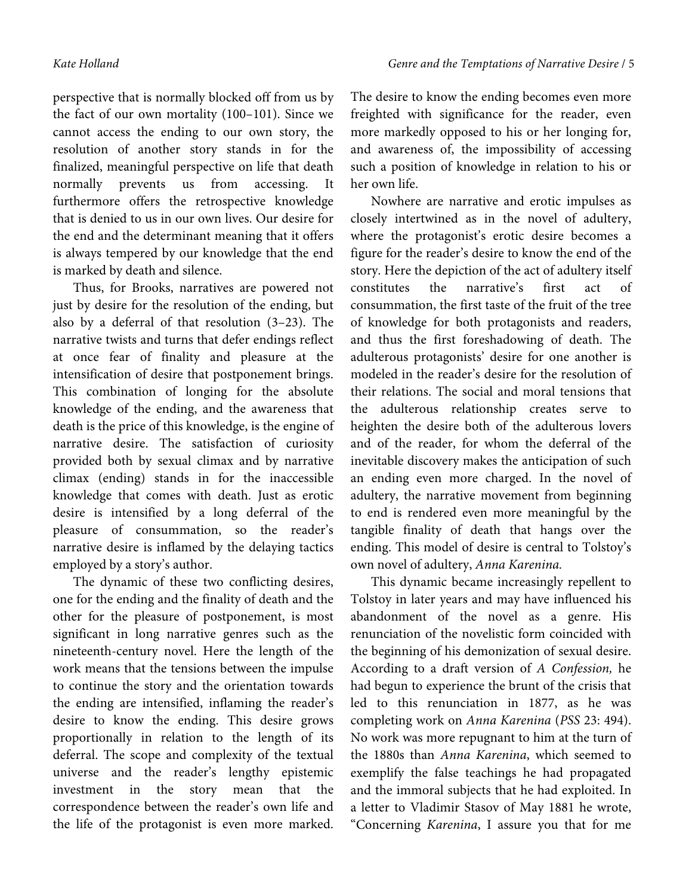perspective that is normally blocked off from us by the fact of our own mortality (100–101). Since we cannot access the ending to our own story, the resolution of another story stands in for the finalized, meaningful perspective on life that death normally prevents us from accessing. It furthermore offers the retrospective knowledge that is denied to us in our own lives. Our desire for the end and the determinant meaning that it offers is always tempered by our knowledge that the end is marked by death and silence.

Thus, for Brooks, narratives are powered not just by desire for the resolution of the ending, but also by a deferral of that resolution (3–23). The narrative twists and turns that defer endings reflect at once fear of finality and pleasure at the intensification of desire that postponement brings. This combination of longing for the absolute knowledge of the ending, and the awareness that death is the price of this knowledge, is the engine of narrative desire. The satisfaction of curiosity provided both by sexual climax and by narrative climax (ending) stands in for the inaccessible knowledge that comes with death. Just as erotic desire is intensified by a long deferral of the pleasure of consummation, so the reader's narrative desire is inflamed by the delaying tactics employed by a story's author.

The dynamic of these two conflicting desires, one for the ending and the finality of death and the other for the pleasure of postponement, is most significant in long narrative genres such as the nineteenth-century novel. Here the length of the work means that the tensions between the impulse to continue the story and the orientation towards the ending are intensified, inflaming the reader's desire to know the ending. This desire grows proportionally in relation to the length of its deferral. The scope and complexity of the textual universe and the reader's lengthy epistemic investment in the story mean that the correspondence between the reader's own life and the life of the protagonist is even more marked.

The desire to know the ending becomes even more freighted with significance for the reader, even more markedly opposed to his or her longing for, and awareness of, the impossibility of accessing such a position of knowledge in relation to his or her own life.

Nowhere are narrative and erotic impulses as closely intertwined as in the novel of adultery, where the protagonist's erotic desire becomes a figure for the reader's desire to know the end of the story. Here the depiction of the act of adultery itself constitutes the narrative's first act of consummation, the first taste of the fruit of the tree of knowledge for both protagonists and readers, and thus the first foreshadowing of death. The adulterous protagonists' desire for one another is modeled in the reader's desire for the resolution of their relations. The social and moral tensions that the adulterous relationship creates serve to heighten the desire both of the adulterous lovers and of the reader, for whom the deferral of the inevitable discovery makes the anticipation of such an ending even more charged. In the novel of adultery, the narrative movement from beginning to end is rendered even more meaningful by the tangible finality of death that hangs over the ending. This model of desire is central to Tolstoy's own novel of adultery, *Anna Karenina.* 

This dynamic became increasingly repellent to Tolstoy in later years and may have influenced his abandonment of the novel as a genre. His renunciation of the novelistic form coincided with the beginning of his demonization of sexual desire. According to a draft version of *A Confession,* he had begun to experience the brunt of the crisis that led to this renunciation in 1877, as he was completing work on *Anna Karenina* (*PSS* 23: 494). No work was more repugnant to him at the turn of the 1880s than *Anna Karenina*, which seemed to exemplify the false teachings he had propagated and the immoral subjects that he had exploited. In a letter to Vladimir Stasov of May 1881 he wrote, "Concerning *Karenina*, I assure you that for me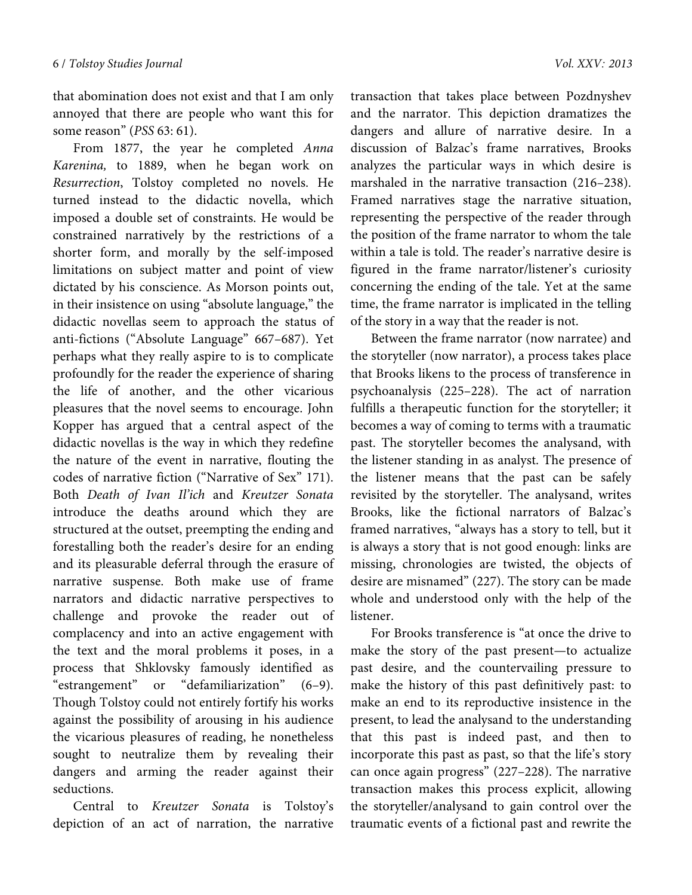that abomination does not exist and that I am only annoyed that there are people who want this for some reason" (*PSS* 63: 61).

From 1877, the year he completed *Anna Karenina,* to 1889, when he began work on *Resurrection*, Tolstoy completed no novels. He turned instead to the didactic novella, which imposed a double set of constraints. He would be constrained narratively by the restrictions of a shorter form, and morally by the self-imposed limitations on subject matter and point of view dictated by his conscience. As Morson points out, in their insistence on using "absolute language," the didactic novellas seem to approach the status of anti-fictions ("Absolute Language" 667–687). Yet perhaps what they really aspire to is to complicate profoundly for the reader the experience of sharing the life of another, and the other vicarious pleasures that the novel seems to encourage. John Kopper has argued that a central aspect of the didactic novellas is the way in which they redefine the nature of the event in narrative, flouting the codes of narrative fiction ("Narrative of Sex" 171). Both *Death of Ivan Il'ich* and *Kreutzer Sonata*  introduce the deaths around which they are structured at the outset, preempting the ending and forestalling both the reader's desire for an ending and its pleasurable deferral through the erasure of narrative suspense. Both make use of frame narrators and didactic narrative perspectives to challenge and provoke the reader out of complacency and into an active engagement with the text and the moral problems it poses, in a process that Shklovsky famously identified as "estrangement" or "defamiliarization" (6–9). Though Tolstoy could not entirely fortify his works against the possibility of arousing in his audience the vicarious pleasures of reading, he nonetheless sought to neutralize them by revealing their dangers and arming the reader against their seductions.

Central to *Kreutzer Sonata* is Tolstoy's depiction of an act of narration, the narrative

transaction that takes place between Pozdnyshev and the narrator. This depiction dramatizes the dangers and allure of narrative desire. In a discussion of Balzac's frame narratives, Brooks analyzes the particular ways in which desire is marshaled in the narrative transaction (216–238). Framed narratives stage the narrative situation, representing the perspective of the reader through the position of the frame narrator to whom the tale within a tale is told. The reader's narrative desire is figured in the frame narrator/listener's curiosity concerning the ending of the tale. Yet at the same time, the frame narrator is implicated in the telling of the story in a way that the reader is not.

Between the frame narrator (now narratee) and the storyteller (now narrator), a process takes place that Brooks likens to the process of transference in psychoanalysis (225–228). The act of narration fulfills a therapeutic function for the storyteller; it becomes a way of coming to terms with a traumatic past. The storyteller becomes the analysand, with the listener standing in as analyst. The presence of the listener means that the past can be safely revisited by the storyteller. The analysand, writes Brooks, like the fictional narrators of Balzac's framed narratives, "always has a story to tell, but it is always a story that is not good enough: links are missing, chronologies are twisted, the objects of desire are misnamed" (227). The story can be made whole and understood only with the help of the listener.

For Brooks transference is "at once the drive to make the story of the past present—to actualize past desire, and the countervailing pressure to make the history of this past definitively past: to make an end to its reproductive insistence in the present, to lead the analysand to the understanding that this past is indeed past, and then to incorporate this past as past, so that the life's story can once again progress" (227–228). The narrative transaction makes this process explicit, allowing the storyteller/analysand to gain control over the traumatic events of a fictional past and rewrite the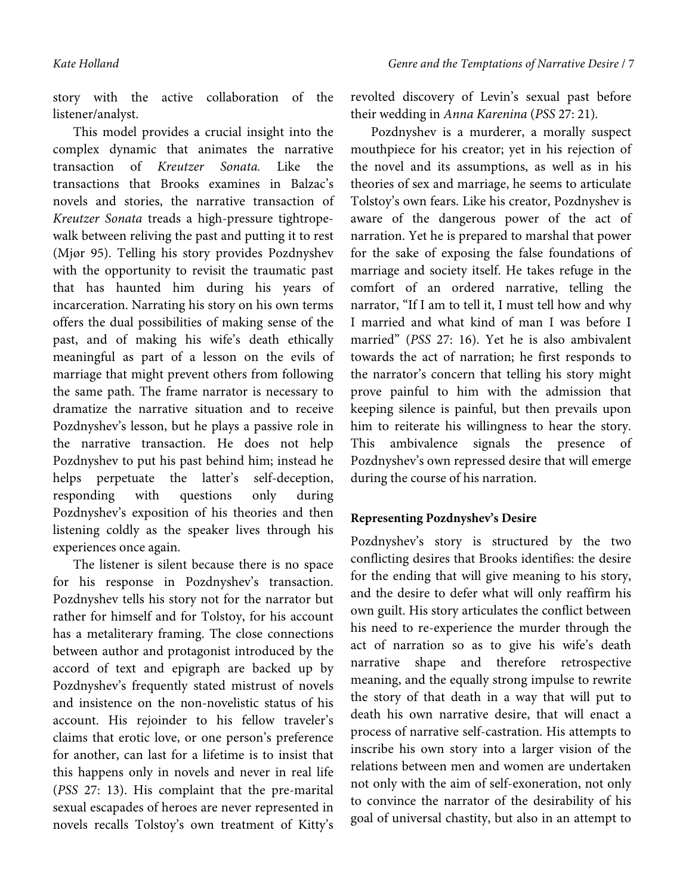story with the active collaboration of the listener/analyst.

This model provides a crucial insight into the complex dynamic that animates the narrative transaction of *Kreutzer Sonata.* Like the transactions that Brooks examines in Balzac's novels and stories, the narrative transaction of *Kreutzer Sonata* treads a high-pressure tightropewalk between reliving the past and putting it to rest (Mjør 95). Telling his story provides Pozdnyshev with the opportunity to revisit the traumatic past that has haunted him during his years of incarceration. Narrating his story on his own terms offers the dual possibilities of making sense of the past, and of making his wife's death ethically meaningful as part of a lesson on the evils of marriage that might prevent others from following the same path. The frame narrator is necessary to dramatize the narrative situation and to receive Pozdnyshev's lesson, but he plays a passive role in the narrative transaction. He does not help Pozdnyshev to put his past behind him; instead he helps perpetuate the latter's self-deception, responding with questions only during Pozdnyshev's exposition of his theories and then listening coldly as the speaker lives through his experiences once again.

The listener is silent because there is no space for his response in Pozdnyshev's transaction. Pozdnyshev tells his story not for the narrator but rather for himself and for Tolstoy, for his account has a metaliterary framing. The close connections between author and protagonist introduced by the accord of text and epigraph are backed up by Pozdnyshev's frequently stated mistrust of novels and insistence on the non-novelistic status of his account. His rejoinder to his fellow traveler's claims that erotic love, or one person's preference for another, can last for a lifetime is to insist that this happens only in novels and never in real life (*PSS* 27: 13). His complaint that the pre-marital sexual escapades of heroes are never represented in novels recalls Tolstoy's own treatment of Kitty's revolted discovery of Levin's sexual past before their wedding in *Anna Karenina* (*PSS* 27: 21)*.*

Pozdnyshev is a murderer, a morally suspect mouthpiece for his creator; yet in his rejection of the novel and its assumptions, as well as in his theories of sex and marriage, he seems to articulate Tolstoy's own fears. Like his creator, Pozdnyshev is aware of the dangerous power of the act of narration. Yet he is prepared to marshal that power for the sake of exposing the false foundations of marriage and society itself. He takes refuge in the comfort of an ordered narrative, telling the narrator, "If I am to tell it, I must tell how and why I married and what kind of man I was before I married" (*PSS* 27: 16). Yet he is also ambivalent towards the act of narration; he first responds to the narrator's concern that telling his story might prove painful to him with the admission that keeping silence is painful, but then prevails upon him to reiterate his willingness to hear the story. This ambivalence signals the presence of Pozdnyshev's own repressed desire that will emerge during the course of his narration.

### **Representing Pozdnyshev's Desire**

Pozdnyshev's story is structured by the two conflicting desires that Brooks identifies: the desire for the ending that will give meaning to his story, and the desire to defer what will only reaffirm his own guilt. His story articulates the conflict between his need to re-experience the murder through the act of narration so as to give his wife's death narrative shape and therefore retrospective meaning, and the equally strong impulse to rewrite the story of that death in a way that will put to death his own narrative desire, that will enact a process of narrative self-castration. His attempts to inscribe his own story into a larger vision of the relations between men and women are undertaken not only with the aim of self-exoneration, not only to convince the narrator of the desirability of his goal of universal chastity, but also in an attempt to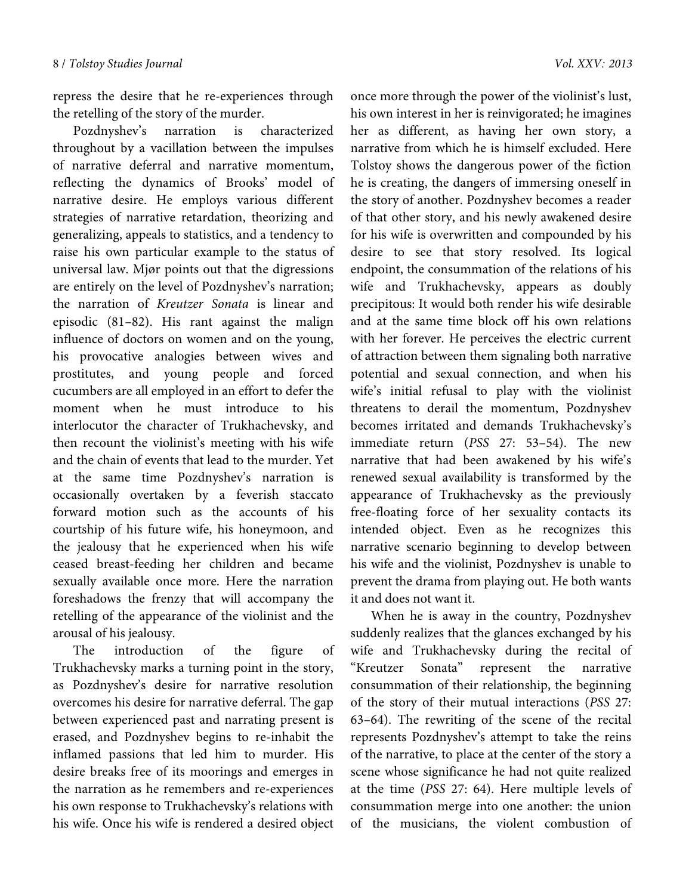repress the desire that he re-experiences through the retelling of the story of the murder.

Pozdnyshev's narration is characterized throughout by a vacillation between the impulses of narrative deferral and narrative momentum, reflecting the dynamics of Brooks' model of narrative desire. He employs various different strategies of narrative retardation, theorizing and generalizing, appeals to statistics, and a tendency to raise his own particular example to the status of universal law. Mjør points out that the digressions are entirely on the level of Pozdnyshev's narration; the narration of *Kreutzer Sonata* is linear and episodic (81–82). His rant against the malign influence of doctors on women and on the young, his provocative analogies between wives and prostitutes, and young people and forced cucumbers are all employed in an effort to defer the moment when he must introduce to his interlocutor the character of Trukhachevsky, and then recount the violinist's meeting with his wife and the chain of events that lead to the murder. Yet at the same time Pozdnyshev's narration is occasionally overtaken by a feverish staccato forward motion such as the accounts of his courtship of his future wife, his honeymoon, and the jealousy that he experienced when his wife ceased breast-feeding her children and became sexually available once more. Here the narration foreshadows the frenzy that will accompany the retelling of the appearance of the violinist and the arousal of his jealousy.

The introduction of the figure of Trukhachevsky marks a turning point in the story, as Pozdnyshev's desire for narrative resolution overcomes his desire for narrative deferral. The gap between experienced past and narrating present is erased, and Pozdnyshev begins to re-inhabit the inflamed passions that led him to murder. His desire breaks free of its moorings and emerges in the narration as he remembers and re-experiences his own response to Trukhachevsky's relations with his wife. Once his wife is rendered a desired object

once more through the power of the violinist's lust, his own interest in her is reinvigorated; he imagines her as different, as having her own story, a narrative from which he is himself excluded. Here Tolstoy shows the dangerous power of the fiction he is creating, the dangers of immersing oneself in the story of another. Pozdnyshev becomes a reader of that other story, and his newly awakened desire for his wife is overwritten and compounded by his desire to see that story resolved. Its logical endpoint, the consummation of the relations of his wife and Trukhachevsky, appears as doubly precipitous: It would both render his wife desirable and at the same time block off his own relations with her forever. He perceives the electric current of attraction between them signaling both narrative potential and sexual connection, and when his wife's initial refusal to play with the violinist threatens to derail the momentum, Pozdnyshev becomes irritated and demands Trukhachevsky's immediate return (*PSS* 27: 53–54). The new narrative that had been awakened by his wife's renewed sexual availability is transformed by the appearance of Trukhachevsky as the previously free-floating force of her sexuality contacts its intended object. Even as he recognizes this narrative scenario beginning to develop between his wife and the violinist, Pozdnyshev is unable to prevent the drama from playing out. He both wants it and does not want it.

When he is away in the country, Pozdnyshev suddenly realizes that the glances exchanged by his wife and Trukhachevsky during the recital of "Kreutzer Sonata" represent the narrative consummation of their relationship, the beginning of the story of their mutual interactions (*PSS* 27: 63–64). The rewriting of the scene of the recital represents Pozdnyshev's attempt to take the reins of the narrative, to place at the center of the story a scene whose significance he had not quite realized at the time (*PSS* 27: 64). Here multiple levels of consummation merge into one another: the union of the musicians, the violent combustion of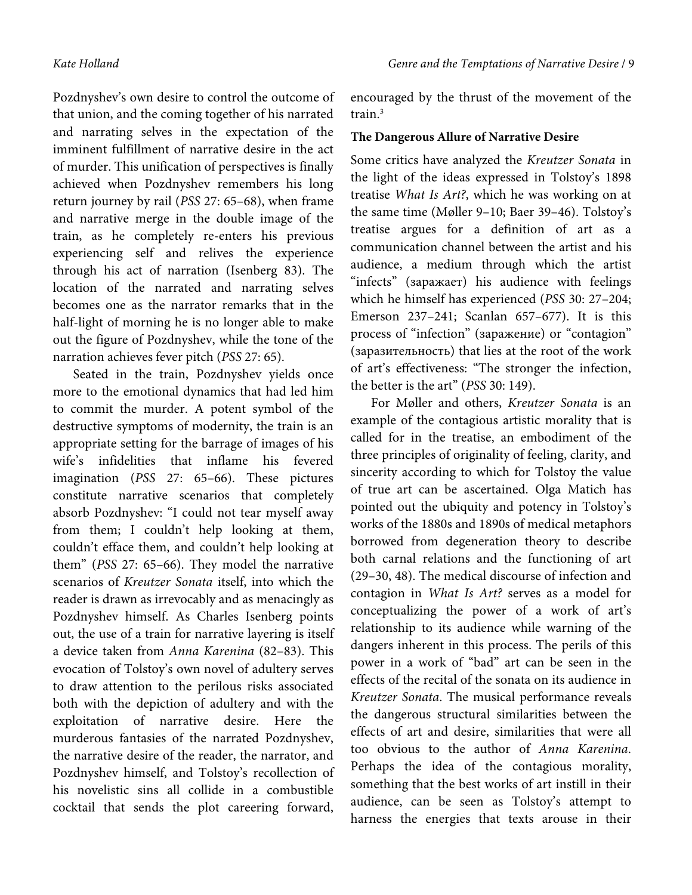Pozdnyshev's own desire to control the outcome of that union, and the coming together of his narrated and narrating selves in the expectation of the imminent fulfillment of narrative desire in the act of murder. This unification of perspectives is finally achieved when Pozdnyshev remembers his long return journey by rail (*PSS* 27: 65–68), when frame and narrative merge in the double image of the train, as he completely re-enters his previous experiencing self and relives the experience through his act of narration (Isenberg 83). The location of the narrated and narrating selves becomes one as the narrator remarks that in the half-light of morning he is no longer able to make out the figure of Pozdnyshev, while the tone of the narration achieves fever pitch (*PSS* 27: 65).

Seated in the train, Pozdnyshev yields once more to the emotional dynamics that had led him to commit the murder. A potent symbol of the destructive symptoms of modernity, the train is an appropriate setting for the barrage of images of his wife's infidelities that inflame his fevered imagination (*PSS* 27: 65–66). These pictures constitute narrative scenarios that completely absorb Pozdnyshev: "I could not tear myself away from them; I couldn't help looking at them, couldn't efface them, and couldn't help looking at them" (*PSS* 27: 65–66). They model the narrative scenarios of *Kreutzer Sonata* itself, into which the reader is drawn as irrevocably and as menacingly as Pozdnyshev himself. As Charles Isenberg points out, the use of a train for narrative layering is itself a device taken from *Anna Karenina* (82–83). This evocation of Tolstoy's own novel of adultery serves to draw attention to the perilous risks associated both with the depiction of adultery and with the exploitation of narrative desire. Here the murderous fantasies of the narrated Pozdnyshev, the narrative desire of the reader, the narrator, and Pozdnyshev himself, and Tolstoy's recollection of his novelistic sins all collide in a combustible cocktail that sends the plot careering forward, encouraged by the thrust of the movement of the train.3

#### **The Dangerous Allure of Narrative Desire**

Some critics have analyzed the *Kreutzer Sonata* in the light of the ideas expressed in Tolstoy's 1898 treatise *What Is Art?*, which he was working on at the same time (Møller 9–10; Baer 39–46). Tolstoy's treatise argues for a definition of art as a communication channel between the artist and his audience, a medium through which the artist "infects" (заражает) his audience with feelings which he himself has experienced (*PSS* 30: 27–204; Emerson 237–241; Scanlan 657–677). It is this process of "infection" (заражение) or "contagion" (заразительность) that lies at the root of the work of art's effectiveness: "The stronger the infection, the better is the art" (*PSS* 30: 149).

For Møller and others, *Kreutzer Sonata* is an example of the contagious artistic morality that is called for in the treatise, an embodiment of the three principles of originality of feeling, clarity, and sincerity according to which for Tolstoy the value of true art can be ascertained. Olga Matich has pointed out the ubiquity and potency in Tolstoy's works of the 1880s and 1890s of medical metaphors borrowed from degeneration theory to describe both carnal relations and the functioning of art (29–30, 48). The medical discourse of infection and contagion in *What Is Art?* serves as a model for conceptualizing the power of a work of art's relationship to its audience while warning of the dangers inherent in this process. The perils of this power in a work of "bad" art can be seen in the effects of the recital of the sonata on its audience in *Kreutzer Sonata*. The musical performance reveals the dangerous structural similarities between the effects of art and desire, similarities that were all too obvious to the author of *Anna Karenina*. Perhaps the idea of the contagious morality, something that the best works of art instill in their audience, can be seen as Tolstoy's attempt to harness the energies that texts arouse in their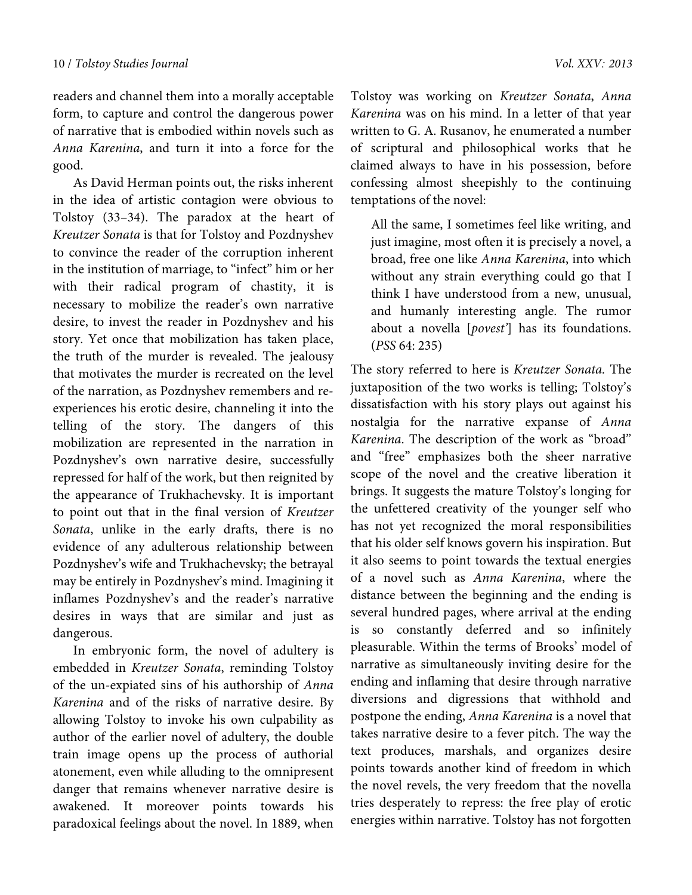readers and channel them into a morally acceptable form, to capture and control the dangerous power of narrative that is embodied within novels such as *Anna Karenina*, and turn it into a force for the good.

As David Herman points out, the risks inherent in the idea of artistic contagion were obvious to Tolstoy (33–34). The paradox at the heart of *Kreutzer Sonata* is that for Tolstoy and Pozdnyshev to convince the reader of the corruption inherent in the institution of marriage, to "infect" him or her with their radical program of chastity, it is necessary to mobilize the reader's own narrative desire, to invest the reader in Pozdnyshev and his story. Yet once that mobilization has taken place, the truth of the murder is revealed. The jealousy that motivates the murder is recreated on the level of the narration, as Pozdnyshev remembers and reexperiences his erotic desire, channeling it into the telling of the story. The dangers of this mobilization are represented in the narration in Pozdnyshev's own narrative desire, successfully repressed for half of the work, but then reignited by the appearance of Trukhachevsky. It is important to point out that in the final version of *Kreutzer Sonata*, unlike in the early drafts, there is no evidence of any adulterous relationship between Pozdnyshev's wife and Trukhachevsky; the betrayal may be entirely in Pozdnyshev's mind. Imagining it inflames Pozdnyshev's and the reader's narrative desires in ways that are similar and just as dangerous.

In embryonic form, the novel of adultery is embedded in *Kreutzer Sonata*, reminding Tolstoy of the un-expiated sins of his authorship of *Anna Karenina* and of the risks of narrative desire. By allowing Tolstoy to invoke his own culpability as author of the earlier novel of adultery, the double train image opens up the process of authorial atonement, even while alluding to the omnipresent danger that remains whenever narrative desire is awakened. It moreover points towards his paradoxical feelings about the novel. In 1889, when

Tolstoy was working on *Kreutzer Sonata*, *Anna Karenina* was on his mind. In a letter of that year written to G. A. Rusanov, he enumerated a number of scriptural and philosophical works that he claimed always to have in his possession, before confessing almost sheepishly to the continuing temptations of the novel:

All the same, I sometimes feel like writing, and just imagine, most often it is precisely a novel, a broad, free one like *Anna Karenina*, into which without any strain everything could go that I think I have understood from a new, unusual, and humanly interesting angle. The rumor about a novella [*povest'*] has its foundations. (*PSS* 64: 235)

The story referred to here is *Kreutzer Sonata.* The juxtaposition of the two works is telling; Tolstoy's dissatisfaction with his story plays out against his nostalgia for the narrative expanse of *Anna Karenina*. The description of the work as "broad" and "free" emphasizes both the sheer narrative scope of the novel and the creative liberation it brings. It suggests the mature Tolstoy's longing for the unfettered creativity of the younger self who has not yet recognized the moral responsibilities that his older self knows govern his inspiration. But it also seems to point towards the textual energies of a novel such as *Anna Karenina*, where the distance between the beginning and the ending is several hundred pages, where arrival at the ending is so constantly deferred and so infinitely pleasurable. Within the terms of Brooks' model of narrative as simultaneously inviting desire for the ending and inflaming that desire through narrative diversions and digressions that withhold and postpone the ending, *Anna Karenina* is a novel that takes narrative desire to a fever pitch. The way the text produces, marshals, and organizes desire points towards another kind of freedom in which the novel revels, the very freedom that the novella tries desperately to repress: the free play of erotic energies within narrative. Tolstoy has not forgotten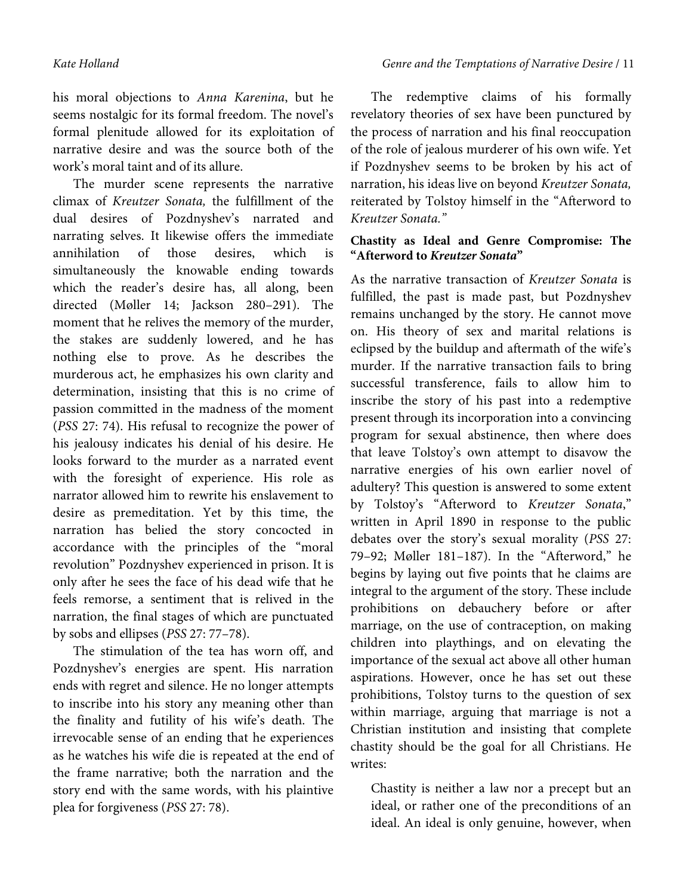his moral objections to *Anna Karenina*, but he seems nostalgic for its formal freedom. The novel's formal plenitude allowed for its exploitation of narrative desire and was the source both of the work's moral taint and of its allure.

The murder scene represents the narrative climax of *Kreutzer Sonata,* the fulfillment of the dual desires of Pozdnyshev's narrated and narrating selves. It likewise offers the immediate annihilation of those desires, which is simultaneously the knowable ending towards which the reader's desire has, all along, been directed (Møller 14; Jackson 280–291). The moment that he relives the memory of the murder, the stakes are suddenly lowered, and he has nothing else to prove. As he describes the murderous act, he emphasizes his own clarity and determination, insisting that this is no crime of passion committed in the madness of the moment (*PSS* 27: 74). His refusal to recognize the power of his jealousy indicates his denial of his desire. He looks forward to the murder as a narrated event with the foresight of experience. His role as narrator allowed him to rewrite his enslavement to desire as premeditation. Yet by this time, the narration has belied the story concocted in accordance with the principles of the "moral revolution" Pozdnyshev experienced in prison. It is only after he sees the face of his dead wife that he feels remorse, a sentiment that is relived in the narration, the final stages of which are punctuated by sobs and ellipses (*PSS* 27: 77–78).

The stimulation of the tea has worn off, and Pozdnyshev's energies are spent. His narration ends with regret and silence. He no longer attempts to inscribe into his story any meaning other than the finality and futility of his wife's death. The irrevocable sense of an ending that he experiences as he watches his wife die is repeated at the end of the frame narrative; both the narration and the story end with the same words, with his plaintive plea for forgiveness (*PSS* 27: 78).

The redemptive claims of his formally revelatory theories of sex have been punctured by the process of narration and his final reoccupation of the role of jealous murderer of his own wife. Yet if Pozdnyshev seems to be broken by his act of narration, his ideas live on beyond *Kreutzer Sonata,*  reiterated by Tolstoy himself in the "Afterword to *Kreutzer Sonata."* 

#### **Chastity as Ideal and Genre Compromise: The "Afterword to** *Kreutzer Sonata***"**

As the narrative transaction of *Kreutzer Sonata* is fulfilled, the past is made past, but Pozdnyshev remains unchanged by the story. He cannot move on. His theory of sex and marital relations is eclipsed by the buildup and aftermath of the wife's murder. If the narrative transaction fails to bring successful transference, fails to allow him to inscribe the story of his past into a redemptive present through its incorporation into a convincing program for sexual abstinence, then where does that leave Tolstoy's own attempt to disavow the narrative energies of his own earlier novel of adultery? This question is answered to some extent by Tolstoy's "Afterword to *Kreutzer Sonata*," written in April 1890 in response to the public debates over the story's sexual morality (*PSS* 27: 79–92; Møller 181–187). In the "Afterword," he begins by laying out five points that he claims are integral to the argument of the story. These include prohibitions on debauchery before or after marriage, on the use of contraception, on making children into playthings, and on elevating the importance of the sexual act above all other human aspirations. However, once he has set out these prohibitions, Tolstoy turns to the question of sex within marriage, arguing that marriage is not a Christian institution and insisting that complete chastity should be the goal for all Christians. He writes:

Chastity is neither a law nor a precept but an ideal, or rather one of the preconditions of an ideal. An ideal is only genuine, however, when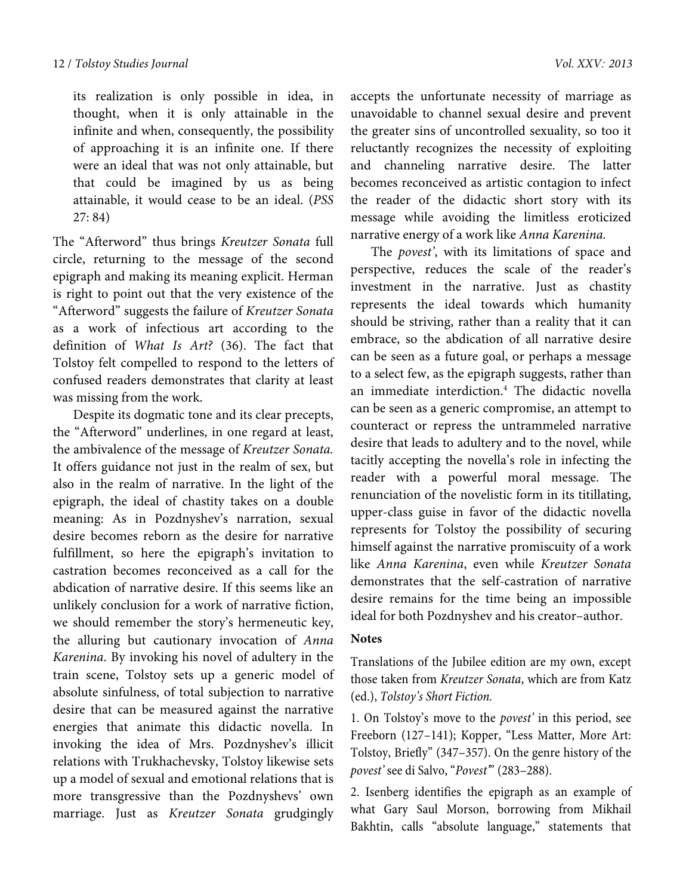its realization is only possible in idea, in thought, when it is only attainable in the infinite and when, consequently, the possibility of approaching it is an infinite one. If there were an ideal that was not only attainable, but that could be imagined by us as being attainable, it would cease to be an ideal. (*PSS*  27: 84)

The "Afterword" thus brings *Kreutzer Sonata* full circle, returning to the message of the second epigraph and making its meaning explicit. Herman is right to point out that the very existence of the "Afterword" suggests the failure of *Kreutzer Sonata*  as a work of infectious art according to the definition of *What Is Art?* (36). The fact that Tolstoy felt compelled to respond to the letters of confused readers demonstrates that clarity at least was missing from the work.

Despite its dogmatic tone and its clear precepts, the "Afterword" underlines, in one regard at least, the ambivalence of the message of *Kreutzer Sonata.* It offers guidance not just in the realm of sex, but also in the realm of narrative. In the light of the epigraph, the ideal of chastity takes on a double meaning: As in Pozdnyshev's narration, sexual desire becomes reborn as the desire for narrative fulfillment, so here the epigraph's invitation to castration becomes reconceived as a call for the abdication of narrative desire. If this seems like an unlikely conclusion for a work of narrative fiction, we should remember the story's hermeneutic key, the alluring but cautionary invocation of *Anna Karenina*. By invoking his novel of adultery in the train scene, Tolstoy sets up a generic model of absolute sinfulness, of total subjection to narrative desire that can be measured against the narrative energies that animate this didactic novella. In invoking the idea of Mrs. Pozdnyshev's illicit relations with Trukhachevsky, Tolstoy likewise sets up a model of sexual and emotional relations that is more transgressive than the Pozdnyshevs' own marriage. Just as *Kreutzer Sonata* grudgingly

accepts the unfortunate necessity of marriage as unavoidable to channel sexual desire and prevent the greater sins of uncontrolled sexuality, so too it reluctantly recognizes the necessity of exploiting and channeling narrative desire. The latter becomes reconceived as artistic contagion to infect the reader of the didactic short story with its message while avoiding the limitless eroticized narrative energy of a work like *Anna Karenina.*

The *povest'*, with its limitations of space and perspective, reduces the scale of the reader's investment in the narrative. Just as chastity represents the ideal towards which humanity should be striving, rather than a reality that it can embrace, so the abdication of all narrative desire can be seen as a future goal, or perhaps a message to a select few, as the epigraph suggests, rather than an immediate interdiction.4 The didactic novella can be seen as a generic compromise, an attempt to counteract or repress the untrammeled narrative desire that leads to adultery and to the novel, while tacitly accepting the novella's role in infecting the reader with a powerful moral message. The renunciation of the novelistic form in its titillating, upper-class guise in favor of the didactic novella represents for Tolstoy the possibility of securing himself against the narrative promiscuity of a work like *Anna Karenina*, even while *Kreutzer Sonata* demonstrates that the self-castration of narrative desire remains for the time being an impossible ideal for both Pozdnyshev and his creator–author.

#### **Notes**

Translations of the Jubilee edition are my own, except those taken from *Kreutzer Sonata*, which are from Katz (ed.), *Tolstoy's Short Fiction.*

1. On Tolstoy's move to the *povest'* in this period, see Freeborn (127–141); Kopper, "Less Matter, More Art: Tolstoy, Briefly" (347–357). On the genre history of the *povest'* see di Salvo, "*Povest'*" (283–288).

2. Isenberg identifies the epigraph as an example of what Gary Saul Morson, borrowing from Mikhail Bakhtin, calls "absolute language," statements that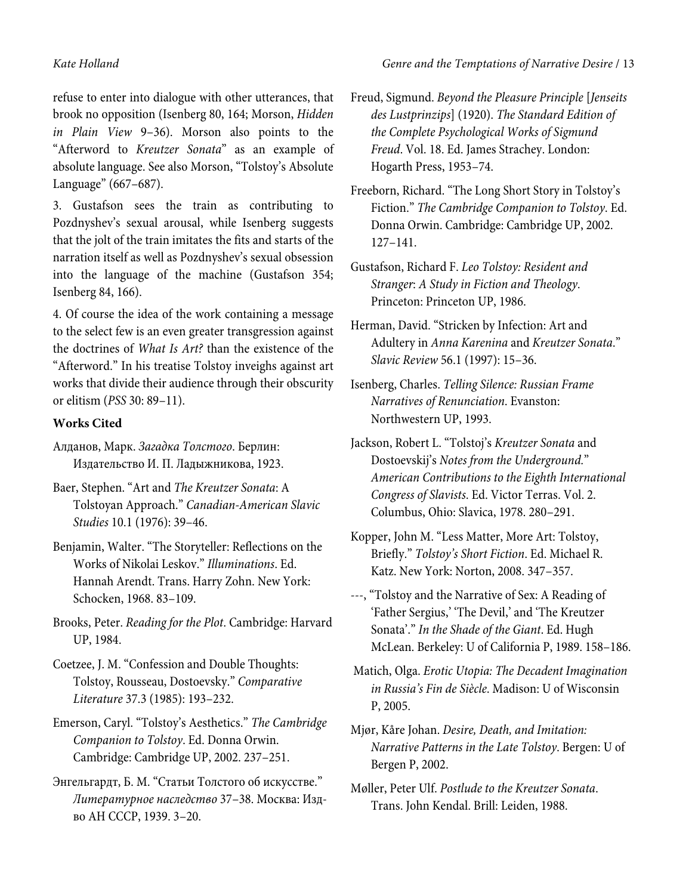refuse to enter into dialogue with other utterances, that brook no opposition (Isenberg 80, 164; Morson, *Hidden in Plain View* 9–36). Morson also points to the "Afterword to *Kreutzer Sonata*" as an example of absolute language. See also Morson, "Tolstoy's Absolute Language" (667–687).

3. Gustafson sees the train as contributing to Pozdnyshev's sexual arousal, while Isenberg suggests that the jolt of the train imitates the fits and starts of the narration itself as well as Pozdnyshev's sexual obsession into the language of the machine (Gustafson 354; Isenberg 84, 166).

4. Of course the idea of the work containing a message to the select few is an even greater transgression against the doctrines of *What Is Art?* than the existence of the "Afterword." In his treatise Tolstoy inveighs against art works that divide their audience through their obscurity or elitism (*PSS* 30: 89–11).

### **Works Cited**

Алданов, Марк. *Загадка Толстого*. Берлин: Издательство И. П. Ладыжникова, 1923.

- Baer, Stephen. "Art and *The Kreutzer Sonata*: A Tolstoyan Approach." *Canadian-American Slavic Studies* 10.1 (1976): 39–46.
- Benjamin, Walter. "The Storyteller: Reflections on the Works of Nikolai Leskov." *Illuminations*. Ed. Hannah Arendt. Trans. Harry Zohn. New York: Schocken, 1968. 83–109.
- Brooks, Peter. *Reading for the Plot*. Cambridge: Harvard UP, 1984.

Coetzee, J. M. "Confession and Double Thoughts: Tolstoy, Rousseau, Dostoevsky." *Comparative Literature* 37.3 (1985): 193–232.

Emerson, Caryl. "Tolstoy's Aesthetics." *The Cambridge Companion to Tolstoy*. Ed. Donna Orwin. Cambridge: Cambridge UP, 2002. 237–251.

Энгельгардт, Б. М. "Статьи Толстого об искусстве." *Литературное наследство* 37–38. Москва: Издво АН СССР, 1939. 3–20.

- Freud, Sigmund. *Beyond the Pleasure Principle* [*Jenseits des Lustprinzips*] (1920). *The Standard Edition of the Complete Psychological Works of Sigmund Freud*. Vol. 18. Ed. James Strachey. London: Hogarth Press, 1953–74.
- Freeborn, Richard. "The Long Short Story in Tolstoy's Fiction." *The Cambridge Companion to Tolstoy*. Ed. Donna Orwin. Cambridge: Cambridge UP, 2002. 127–141.
- Gustafson, Richard F. *Leo Tolstoy: Resident and Stranger*: *A Study in Fiction and Theology*. Princeton: Princeton UP, 1986.
- Herman, David. "Stricken by Infection: Art and Adultery in *Anna Karenina* and *Kreutzer Sonata*." *Slavic Review* 56.1 (1997): 15–36.
- Isenberg, Charles. *Telling Silence: Russian Frame Narratives of Renunciation*. Evanston: Northwestern UP, 1993.
- Jackson, Robert L. "Tolstoj's *Kreutzer Sonata* and Dostoevskij's *Notes from the Underground.*" *American Contributions to the Eighth International Congress of Slavists*. Ed. Victor Terras. Vol. 2. Columbus, Ohio: Slavica, 1978. 280–291.
- Kopper, John M. "Less Matter, More Art: Tolstoy, Briefly." *Tolstoy's Short Fiction*. Ed. Michael R. Katz. New York: Norton, 2008. 347–357.
- ---, "Tolstoy and the Narrative of Sex: A Reading of 'Father Sergius,' 'The Devil,' and 'The Kreutzer Sonata'." *In the Shade of the Giant*. Ed. Hugh McLean. Berkeley: U of California P, 1989. 158–186.
- Matich, Olga. *Erotic Utopia: The Decadent Imagination in Russia's Fin de Siècle*. Madison: U of Wisconsin P, 2005.
- Mjør, Kåre Johan. *Desire, Death, and Imitation: Narrative Patterns in the Late Tolstoy*. Bergen: U of Bergen P, 2002.
- Møller, Peter Ulf. *Postlude to the Kreutzer Sonata*. Trans. John Kendal. Brill: Leiden, 1988.